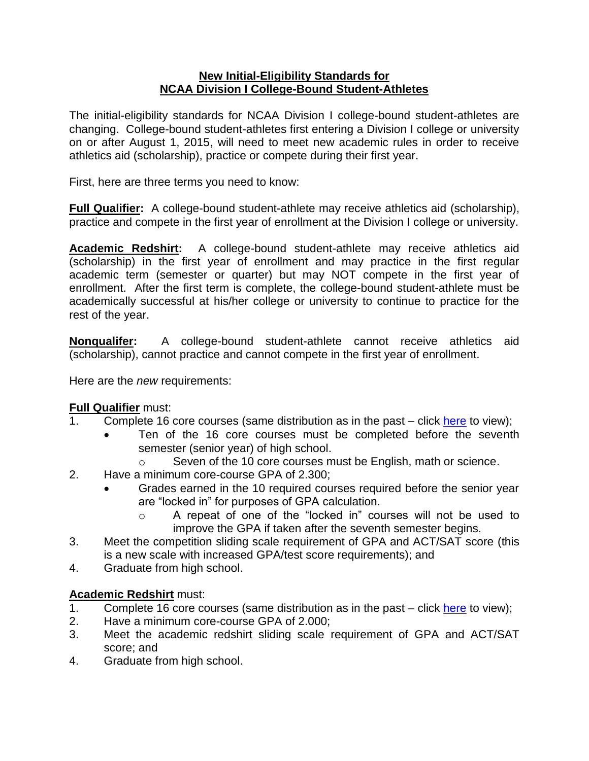## **New Initial-Eligibility Standards for NCAA Division I College-Bound Student-Athletes**

The initial-eligibility standards for NCAA Division I college-bound student-athletes are changing. College-bound student-athletes first entering a Division I college or university on or after August 1, 2015, will need to meet new academic rules in order to receive athletics aid (scholarship), practice or compete during their first year.

First, here are three terms you need to know:

**Full Qualifier:** A college-bound student-athlete may receive athletics aid (scholarship), practice and compete in the first year of enrollment at the Division I college or university.

**Academic Redshirt:** A college-bound student-athlete may receive athletics aid (scholarship) in the first year of enrollment and may practice in the first regular academic term (semester or quarter) but may NOT compete in the first year of enrollment. After the first term is complete, the college-bound student-athlete must be academically successful at his/her college or university to continue to practice for the rest of the year.

**Nonqualifer:** A college-bound student-athlete cannot receive athletics aid (scholarship), cannot practice and cannot compete in the first year of enrollment.

Here are the *new* requirements:

## **Full Qualifier** must:

- 1. Complete 16 core courses (same distribution as in the past click [here](http://fs.ncaa.org/Docs/eligibility_center/Quick_Reference_Sheet.pdf) to view);
	- Ten of the 16 core courses must be completed before the seventh semester (senior year) of high school.
		- o Seven of the 10 core courses must be English, math or science.
- 2. Have a minimum core-course GPA of 2.300;
	- Grades earned in the 10 required courses required before the senior year are "locked in" for purposes of GPA calculation.
		- A repeat of one of the "locked in" courses will not be used to improve the GPA if taken after the seventh semester begins.
- 3. Meet the competition sliding scale requirement of GPA and ACT/SAT score (this is a new scale with increased GPA/test score requirements); and
- 4. Graduate from high school.

## **Academic Redshirt** must:

- 1. Complete 16 core courses (same distribution as in the past click [here](http://fs.ncaa.org/Docs/eligibility_center/Quick_Reference_Sheet.pdf) to view);
- 2. Have a minimum core-course GPA of 2.000;
- 3. Meet the academic redshirt sliding scale requirement of GPA and ACT/SAT score; and
- 4. Graduate from high school.